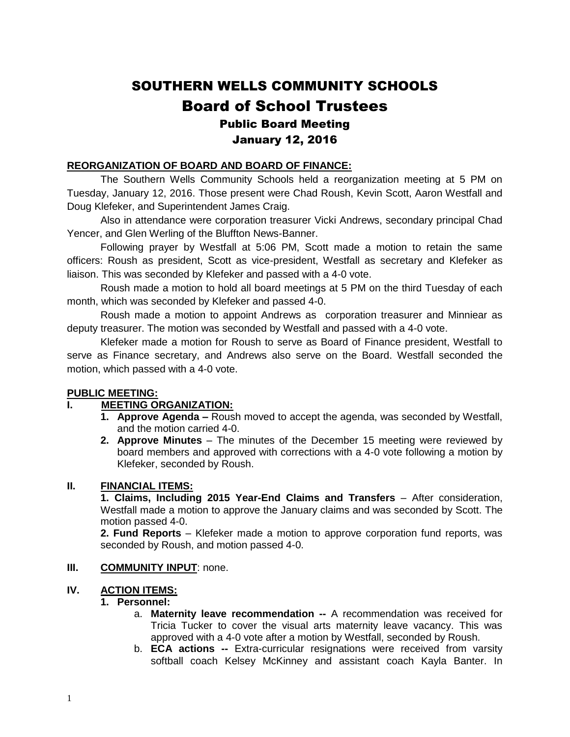# SOUTHERN WELLS COMMUNITY SCHOOLS Board of School Trustees Public Board Meeting January 12, 2016

# **REORGANIZATION OF BOARD AND BOARD OF FINANCE:**

The Southern Wells Community Schools held a reorganization meeting at 5 PM on Tuesday, January 12, 2016. Those present were Chad Roush, Kevin Scott, Aaron Westfall and Doug Klefeker, and Superintendent James Craig.

Also in attendance were corporation treasurer Vicki Andrews, secondary principal Chad Yencer, and Glen Werling of the Bluffton News-Banner.

Following prayer by Westfall at 5:06 PM, Scott made a motion to retain the same officers: Roush as president, Scott as vice-president, Westfall as secretary and Klefeker as liaison. This was seconded by Klefeker and passed with a 4-0 vote.

Roush made a motion to hold all board meetings at 5 PM on the third Tuesday of each month, which was seconded by Klefeker and passed 4-0.

Roush made a motion to appoint Andrews as corporation treasurer and Minniear as deputy treasurer. The motion was seconded by Westfall and passed with a 4-0 vote.

Klefeker made a motion for Roush to serve as Board of Finance president, Westfall to serve as Finance secretary, and Andrews also serve on the Board. Westfall seconded the motion, which passed with a 4-0 vote.

# **PUBLIC MEETING:**

# **I. MEETING ORGANIZATION:**

- **1. Approve Agenda –** Roush moved to accept the agenda, was seconded by Westfall, and the motion carried 4-0.
- **2. Approve Minutes** The minutes of the December 15 meeting were reviewed by board members and approved with corrections with a 4-0 vote following a motion by Klefeker, seconded by Roush.

# **II. FINANCIAL ITEMS:**

**1. Claims, Including 2015 Year-End Claims and Transfers** – After consideration, Westfall made a motion to approve the January claims and was seconded by Scott. The motion passed 4-0.

**2. Fund Reports** – Klefeker made a motion to approve corporation fund reports, was seconded by Roush, and motion passed 4-0.

#### **III. COMMUNITY INPUT**: none.

# **IV. ACTION ITEMS:**

#### **1. Personnel:**

- a. **Maternity leave recommendation --** A recommendation was received for Tricia Tucker to cover the visual arts maternity leave vacancy. This was approved with a 4-0 vote after a motion by Westfall, seconded by Roush.
- b. **ECA actions --** Extra-curricular resignations were received from varsity softball coach Kelsey McKinney and assistant coach Kayla Banter. In